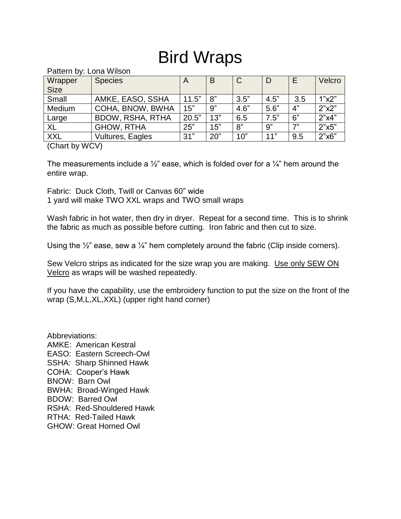## Bird Wraps

Pattern by: Lona Wilson

| Wrapper     | <b>Species</b>          | A     | B   | $\mathsf{C}$ | D    | E   | Velcro |
|-------------|-------------------------|-------|-----|--------------|------|-----|--------|
| <b>Size</b> |                         |       |     |              |      |     |        |
| Small       | AMKE, EASO, SSHA        | 11.5" | 8"  | 3.5"         | 4.5" | 3.5 | 1"x2"  |
| Medium      | COHA, BNOW, BWHA        | 15"   | 9"  | 4.6"         | 5.6" | 4"  | 2"x2"  |
| Large       | <b>BDOW, RSHA, RTHA</b> | 20.5" | 13" | 6.5          | 7.5" | 6"  | 2"x4"  |
| <b>XL</b>   | <b>GHOW, RTHA</b>       | 25"   | 15" | 8"           | 9"   | 7"  | 2"x5"  |
| <b>XXL</b>  | Vultures, Eagles        | 31"   | 20" | 10"          | 11"  | 9.5 | 2"x6"  |

(Chart by WCV)

The measurements include a  $\frac{1}{2}$ " ease, which is folded over for a  $\frac{1}{4}$ " hem around the entire wrap.

Fabric: Duck Cloth, Twill or Canvas 60" wide

1 yard will make TWO XXL wraps and TWO small wraps

Wash fabric in hot water, then dry in dryer. Repeat for a second time. This is to shrink the fabric as much as possible before cutting. Iron fabric and then cut to size.

Using the  $\frac{1}{2}$ " ease, sew a  $\frac{1}{4}$ " hem completely around the fabric (Clip inside corners).

Sew Velcro strips as indicated for the size wrap you are making. Use only SEW ON Velcro as wraps will be washed repeatedly.

If you have the capability, use the embroidery function to put the size on the front of the wrap (S,M,L,XL,XXL) (upper right hand corner)

Abbreviations: AMKE: American Kestral EASO: Eastern Screech-Owl SSHA: Sharp Shinned Hawk COHA: Cooper's Hawk BNOW: Barn Owl BWHA: Broad-Winged Hawk BDOW: Barred Owl RSHA: Red-Shouldered Hawk RTHA: Red-Tailed Hawk GHOW: Great Horned Owl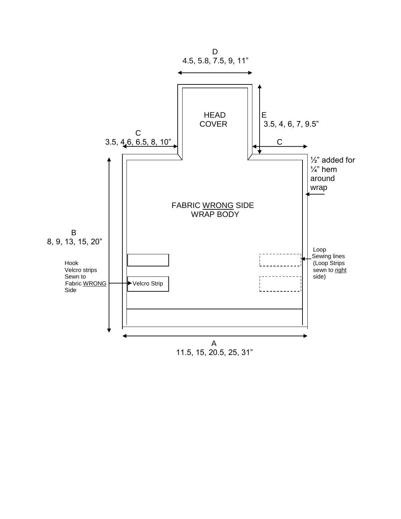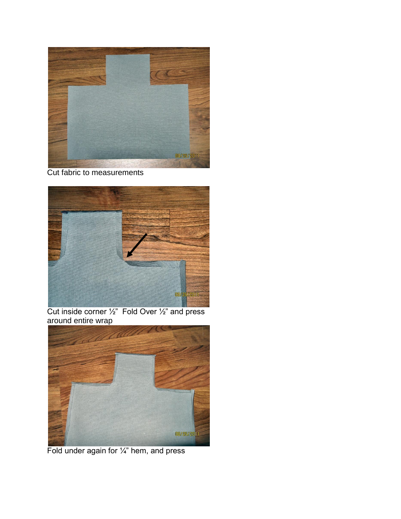

## Cut fabric to measurements



Cut inside corner  $\frac{1}{2}$ " Fold Over  $\frac{1}{2}$ " and press around entire wrap



Fold under again for 1/4" hem, and press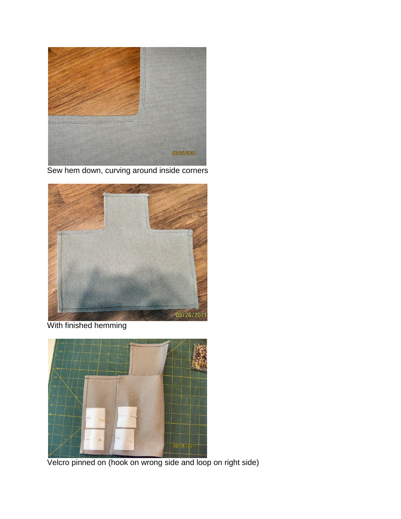

Sew hem down, curving around inside corners



With finished hemming



Velcro pinned on (hook on wrong side and loop on right side)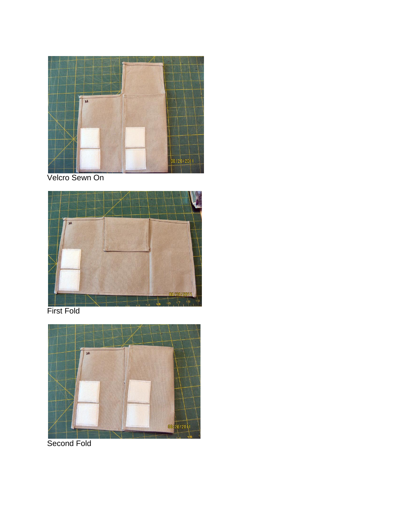

Velcro Sewn On



First Fold



Second Fold